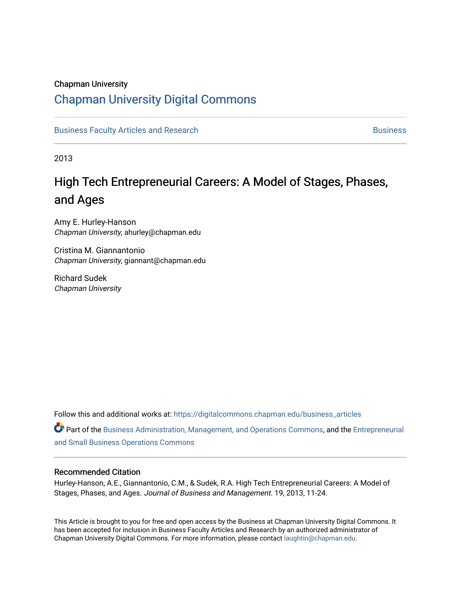### Chapman University

## [Chapman University Digital Commons](https://digitalcommons.chapman.edu/)

[Business Faculty Articles and Research](https://digitalcommons.chapman.edu/business_articles) [Business](https://digitalcommons.chapman.edu/business) **Business** Business

2013

## High Tech Entrepreneurial Careers: A Model of Stages, Phases, and Ages

Amy E. Hurley-Hanson Chapman University, ahurley@chapman.edu

Cristina M. Giannantonio Chapman University, giannant@chapman.edu

Richard Sudek Chapman University

Follow this and additional works at: [https://digitalcommons.chapman.edu/business\\_articles](https://digitalcommons.chapman.edu/business_articles?utm_source=digitalcommons.chapman.edu%2Fbusiness_articles%2F39&utm_medium=PDF&utm_campaign=PDFCoverPages) 

Part of the [Business Administration, Management, and Operations Commons](http://network.bepress.com/hgg/discipline/623?utm_source=digitalcommons.chapman.edu%2Fbusiness_articles%2F39&utm_medium=PDF&utm_campaign=PDFCoverPages), and the [Entrepreneurial](http://network.bepress.com/hgg/discipline/630?utm_source=digitalcommons.chapman.edu%2Fbusiness_articles%2F39&utm_medium=PDF&utm_campaign=PDFCoverPages)  [and Small Business Operations Commons](http://network.bepress.com/hgg/discipline/630?utm_source=digitalcommons.chapman.edu%2Fbusiness_articles%2F39&utm_medium=PDF&utm_campaign=PDFCoverPages) 

#### Recommended Citation

Hurley-Hanson, A.E., Giannantonio, C.M., & Sudek, R.A. High Tech Entrepreneurial Careers: A Model of Stages, Phases, and Ages. Journal of Business and Management. 19, 2013, 11-24.

This Article is brought to you for free and open access by the Business at Chapman University Digital Commons. It has been accepted for inclusion in Business Faculty Articles and Research by an authorized administrator of Chapman University Digital Commons. For more information, please contact [laughtin@chapman.edu](mailto:laughtin@chapman.edu).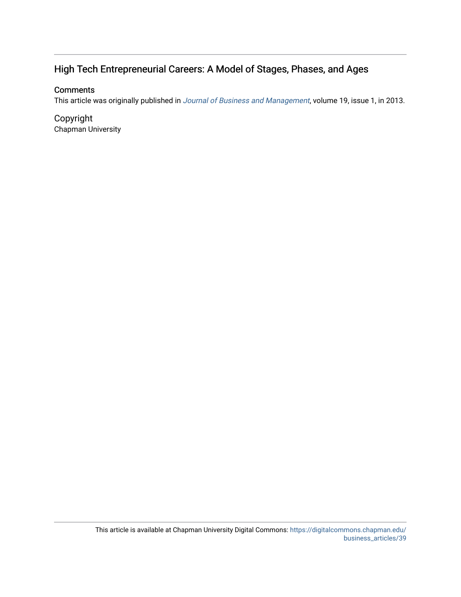## High Tech Entrepreneurial Careers: A Model of Stages, Phases, and Ages

## **Comments**

This article was originally published in [Journal of Business and Management](https://www.chapman.edu/business/faculty-research/journals-and-essays/index.aspx), volume 19, issue 1, in 2013.

Copyright Chapman University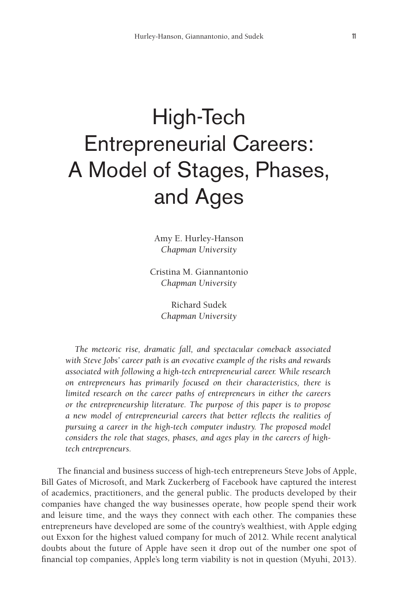# High-Tech Entrepreneurial Careers: A Model of Stages, Phases, and Ages

Amy E. Hurley-Hanson *Chapman University*

Cristina M. Giannantonio *Chapman University*

> Richard Sudek *Chapman University*

*The meteoric rise, dramatic fall, and spectacular comeback associated with Steve Jobs' career path is an evocative example of the risks and rewards associated with following a high-tech entrepreneurial career. While research on entrepreneurs has primarily focused on their characteristics, there is limited research on the career paths of entrepreneurs in either the careers or the entrepreneurship literature. The purpose of this paper is to propose a new model of entrepreneurial careers that better reflects the realities of pursuing a career in the high-tech computer industry. The proposed model considers the role that stages, phases, and ages play in the careers of hightech entrepreneurs.*

The financial and business success of high-tech entrepreneurs Steve Jobs of Apple, Bill Gates of Microsoft, and Mark Zuckerberg of Facebook have captured the interest of academics, practitioners, and the general public. The products developed by their companies have changed the way businesses operate, how people spend their work and leisure time, and the ways they connect with each other. The companies these entrepreneurs have developed are some of the country's wealthiest, with Apple edging out Exxon for the highest valued company for much of 2012. While recent analytical doubts about the future of Apple have seen it drop out of the number one spot of financial top companies, Apple's long term viability is not in question (Myuhi, 2013).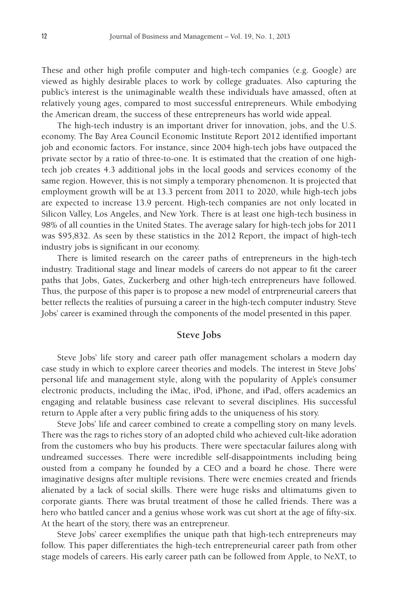These and other high profile computer and high-tech companies (e.g. Google) are viewed as highly desirable places to work by college graduates. Also capturing the public's interest is the unimaginable wealth these individuals have amassed, often at relatively young ages, compared to most successful entrepreneurs. While embodying the American dream, the success of these entrepreneurs has world wide appeal.

The high-tech industry is an important driver for innovation, jobs, and the U.S. economy. The Bay Area Council Economic Institute Report 2012 identified important job and economic factors. For instance, since 2004 high-tech jobs have outpaced the private sector by a ratio of three-to-one. It is estimated that the creation of one hightech job creates 4.3 additional jobs in the local goods and services economy of the same region. However, this is not simply a temporary phenomenon. It is projected that employment growth will be at 13.3 percent from 2011 to 2020, while high-tech jobs are expected to increase 13.9 percent. High-tech companies are not only located in Silicon Valley, Los Angeles, and New York. There is at least one high-tech business in 98% of all counties in the United States. The average salary for high-tech jobs for 2011 was \$95,832. As seen by these statistics in the 2012 Report, the impact of high-tech industry jobs is significant in our economy.

There is limited research on the career paths of entrepreneurs in the high-tech industry. Traditional stage and linear models of careers do not appear to fit the career paths that Jobs, Gates, Zuckerberg and other high-tech entrepreneurs have followed. Thus, the purpose of this paper is to propose a new model of entrpreneurial careers that better reflects the realities of pursuing a career in the high-tech computer industry. Steve Jobs' career is examined through the components of the model presented in this paper.

#### **Steve Jobs**

Steve Jobs' life story and career path offer management scholars a modern day case study in which to explore career theories and models. The interest in Steve Jobs' personal life and management style, along with the popularity of Apple's consumer electronic products, including the iMac, iPod, iPhone, and iPad, offers academics an engaging and relatable business case relevant to several disciplines. His successful return to Apple after a very public firing adds to the uniqueness of his story.

Steve Jobs' life and career combined to create a compelling story on many levels. There was the rags to riches story of an adopted child who achieved cult-like adoration from the customers who buy his products. There were spectacular failures along with undreamed successes. There were incredible self-disappointments including being ousted from a company he founded by a CEO and a board he chose. There were imaginative designs after multiple revisions. There were enemies created and friends alienated by a lack of social skills. There were huge risks and ultimatums given to corporate giants. There was brutal treatment of those he called friends. There was a hero who battled cancer and a genius whose work was cut short at the age of fifty-six. At the heart of the story, there was an entrepreneur.

Steve Jobs' career exemplifies the unique path that high-tech entrepreneurs may follow. This paper differentiates the high-tech entrepreneurial career path from other stage models of careers. His early career path can be followed from Apple, to NeXT, to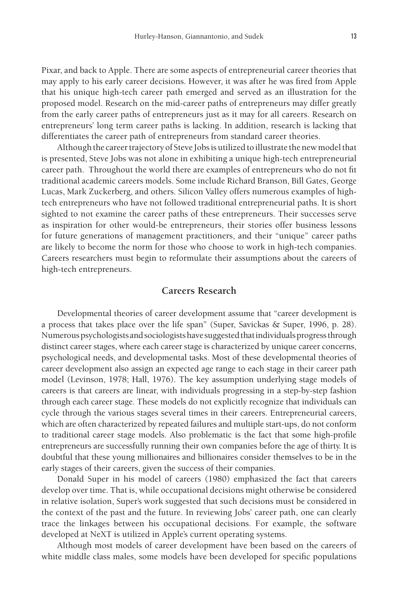Pixar, and back to Apple. There are some aspects of entrepreneurial career theories that may apply to his early career decisions. However, it was after he was fired from Apple that his unique high-tech career path emerged and served as an illustration for the proposed model. Research on the mid-career paths of entrepreneurs may differ greatly from the early career paths of entrepreneurs just as it may for all careers. Research on entrepreneurs' long term career paths is lacking. In addition, research is lacking that differentiates the career path of entrepreneurs from standard career theories.

Although the career trajectory of Steve Jobs is utilized to illustrate the new model that is presented, Steve Jobs was not alone in exhibiting a unique high-tech entrepreneurial career path. Throughout the world there are examples of entrepreneurs who do not fit traditional academic careers models. Some include Richard Branson, Bill Gates, George Lucas, Mark Zuckerberg, and others. Silicon Valley offers numerous examples of hightech entrepreneurs who have not followed traditional entrepreneurial paths. It is short sighted to not examine the career paths of these entrepreneurs. Their successes serve as inspiration for other would-be entrepreneurs, their stories offer business lessons for future generations of management practitioners, and their "unique" career paths are likely to become the norm for those who choose to work in high-tech companies. Careers researchers must begin to reformulate their assumptions about the careers of high-tech entrepreneurs.

#### **Careers Research**

Developmental theories of career development assume that "career development is a process that takes place over the life span" (Super, Savickas & Super, 1996, p. 28). Numerous psychologists and sociologists have suggested that individuals progress through distinct career stages, where each career stage is characterized by unique career concerns, psychological needs, and developmental tasks. Most of these developmental theories of career development also assign an expected age range to each stage in their career path model (Levinson, 1978; Hall, 1976). The key assumption underlying stage models of careers is that careers are linear, with individuals progressing in a step-by-step fashion through each career stage. These models do not explicitly recognize that individuals can cycle through the various stages several times in their careers. Entrepreneurial careers, which are often characterized by repeated failures and multiple start-ups, do not conform to traditional career stage models. Also problematic is the fact that some high-profile entrepreneurs are successfully running their own companies before the age of thirty. It is doubtful that these young millionaires and billionaires consider themselves to be in the early stages of their careers, given the success of their companies.

Donald Super in his model of careers (1980) emphasized the fact that careers develop over time. That is, while occupational decisions might otherwise be considered in relative isolation, Super's work suggested that such decisions must be considered in the context of the past and the future. In reviewing Jobs' career path, one can clearly trace the linkages between his occupational decisions. For example, the software developed at NeXT is utilized in Apple's current operating systems.

Although most models of career development have been based on the careers of white middle class males, some models have been developed for specific populations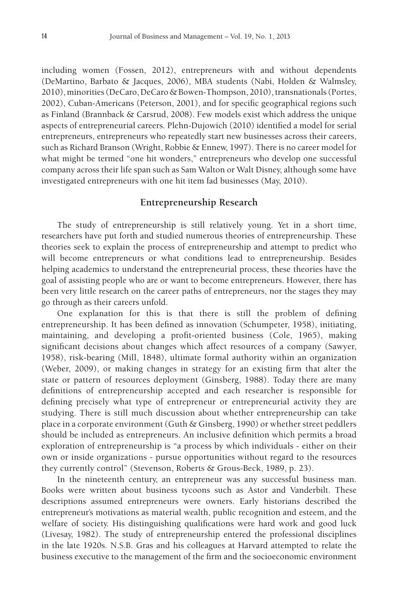including women (Fossen, 2012), entrepreneurs with and without dependents (DeMartino, Barbato & Jacques, 2006), MBA students (Nabi, Holden & Walmsley, 2010), minorities (DeCaro, DeCaro & Bowen-Thompson, 2010), transnationals (Portes, 2002), Cuban-Americans (Peterson, 2001), and for specific geographical regions such as Finland (Brannback & Carsrud, 2008). Few models exist which address the unique aspects of entrepreneurial careers. Plehn-Dujowich (2010) identified a model for serial entrepreneurs, entrepreneurs who repeatedly start new businesses across their careers, such as Richard Branson (Wright, Robbie & Ennew, 1997). There is no career model for what might be termed "one hit wonders," entrepreneurs who develop one successful company across their life span such as Sam Walton or Walt Disney, although some have investigated entrepreneurs with one hit item fad businesses (May, 2010).

#### **Entrepreneurship Research**

The study of entrepreneurship is still relatively young. Yet in a short time, researchers have put forth and studied numerous theories of entrepreneurship. These theories seek to explain the process of entrepreneurship and attempt to predict who will become entrepreneurs or what conditions lead to entrepreneurship. Besides helping academics to understand the entrepreneurial process, these theories have the goal of assisting people who are or want to become entrepreneurs. However, there has been very little research on the career paths of entrepreneurs, nor the stages they may go through as their careers unfold.

One explanation for this is that there is still the problem of defining entrepreneurship. It has been defined as innovation (Schumpeter, 1958), initiating, maintaining, and developing a profit-oriented business (Cole, 1965), making significant decisions about changes which affect resources of a company (Sawyer, 1958), risk-bearing (Mill, 1848), ultimate formal authority within an organization (Weber, 2009), or making changes in strategy for an existing firm that alter the state or pattern of resources deployment (Ginsberg, 1988). Today there are many definitions of entrepreneurship accepted and each researcher is responsible for defining precisely what type of entrepreneur or entrepreneurial activity they are studying. There is still much discussion about whether entrepreneurship can take place in a corporate environment (Guth & Ginsberg, 1990) or whether street peddlers should be included as entrepreneurs. An inclusive definition which permits a broad exploration of entrepreneurship is "a process by which individuals - either on their own or inside organizations - pursue opportunities without regard to the resources they currently control" (Stevenson, Roberts & Grous-Beck, 1989, p. 23).

In the nineteenth century, an entrepreneur was any successful business man. Books were written about business tycoons such as Astor and Vanderbilt. These descriptions assumed entrepreneurs were owners. Early historians described the entrepreneur's motivations as material wealth, public recognition and esteem, and the welfare of society. His distinguishing qualifications were hard work and good luck (Livesay, 1982). The study of entrepreneurship entered the professional disciplines in the late 1920s. N.S.B. Gras and his colleagues at Harvard attempted to relate the business executive to the management of the firm and the socioeconomic environment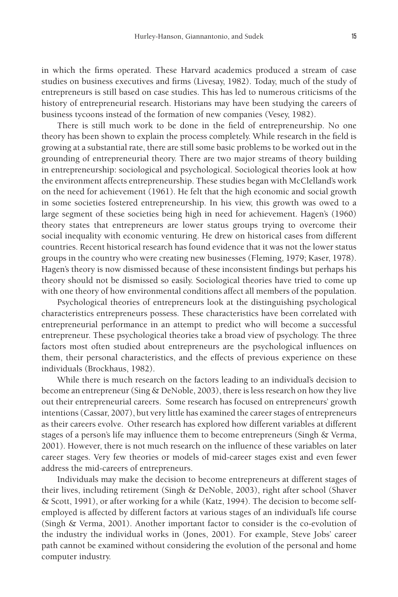in which the firms operated. These Harvard academics produced a stream of case studies on business executives and firms (Livesay, 1982). Today, much of the study of entrepreneurs is still based on case studies. This has led to numerous criticisms of the history of entrepreneurial research. Historians may have been studying the careers of business tycoons instead of the formation of new companies (Vesey, 1982).

There is still much work to be done in the field of entrepreneurship. No one theory has been shown to explain the process completely. While research in the field is growing at a substantial rate, there are still some basic problems to be worked out in the grounding of entrepreneurial theory. There are two major streams of theory building in entrepreneurship: sociological and psychological. Sociological theories look at how the environment affects entrepreneurship. These studies began with McClelland's work on the need for achievement (1961). He felt that the high economic and social growth in some societies fostered entrepreneurship. In his view, this growth was owed to a large segment of these societies being high in need for achievement. Hagen's (1960) theory states that entrepreneurs are lower status groups trying to overcome their social inequality with economic venturing. He drew on historical cases from different countries. Recent historical research has found evidence that it was not the lower status groups in the country who were creating new businesses (Fleming, 1979; Kaser, 1978). Hagen's theory is now dismissed because of these inconsistent findings but perhaps his theory should not be dismissed so easily. Sociological theories have tried to come up with one theory of how environmental conditions affect all members of the population.

Psychological theories of entrepreneurs look at the distinguishing psychological characteristics entrepreneurs possess. These characteristics have been correlated with entrepreneurial performance in an attempt to predict who will become a successful entrepreneur. These psychological theories take a broad view of psychology. The three factors most often studied about entrepreneurs are the psychological influences on them, their personal characteristics, and the effects of previous experience on these individuals (Brockhaus, 1982).

While there is much research on the factors leading to an individual's decision to become an entrepreneur (Sing & DeNoble, 2003), there is less research on how they live out their entrepreneurial careers. Some research has focused on entrepreneurs' growth intentions (Cassar, 2007), but very little has examined the career stages of entrepreneurs as their careers evolve. Other research has explored how different variables at different stages of a person's life may influence them to become entrepreneurs (Singh & Verma, 2001). However, there is not much research on the influence of these variables on later career stages. Very few theories or models of mid-career stages exist and even fewer address the mid-careers of entrepreneurs.

Individuals may make the decision to become entrepreneurs at different stages of their lives, including retirement (Singh & DeNoble, 2003), right after school (Shaver & Scott, 1991), or after working for a while (Katz, 1994). The decision to become selfemployed is affected by different factors at various stages of an individual's life course (Singh & Verma, 2001). Another important factor to consider is the co-evolution of the industry the individual works in (Jones, 2001). For example, Steve Jobs' career path cannot be examined without considering the evolution of the personal and home computer industry.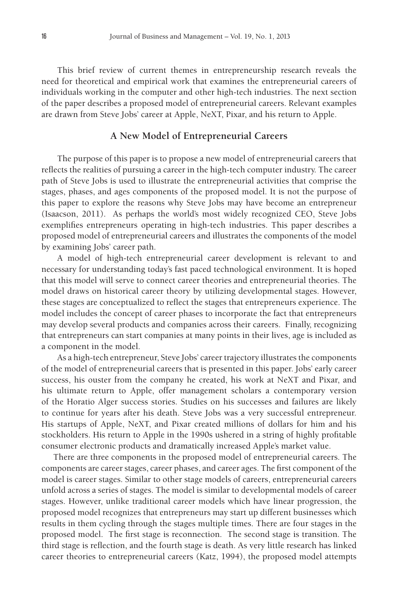This brief review of current themes in entrepreneurship research reveals the need for theoretical and empirical work that examines the entrepreneurial careers of individuals working in the computer and other high-tech industries. The next section of the paper describes a proposed model of entrepreneurial careers. Relevant examples are drawn from Steve Jobs' career at Apple, NeXT, Pixar, and his return to Apple.

#### **A New Model of Entrepreneurial Careers**

The purpose of this paper is to propose a new model of entrepreneurial careers that reflects the realities of pursuing a career in the high-tech computer industry. The career path of Steve Jobs is used to illustrate the entrepreneurial activities that comprise the stages, phases, and ages components of the proposed model. It is not the purpose of this paper to explore the reasons why Steve Jobs may have become an entrepreneur (Isaacson, 2011). As perhaps the world's most widely recognized CEO, Steve Jobs exemplifies entrepreneurs operating in high-tech industries. This paper describes a proposed model of entrepreneurial careers and illustrates the components of the model by examining Jobs' career path.

A model of high-tech entrepreneurial career development is relevant to and necessary for understanding today's fast paced technological environment. It is hoped that this model will serve to connect career theories and entrepreneurial theories. The model draws on historical career theory by utilizing developmental stages. However, these stages are conceptualized to reflect the stages that entrepreneurs experience. The model includes the concept of career phases to incorporate the fact that entrepreneurs may develop several products and companies across their careers. Finally, recognizing that entrepreneurs can start companies at many points in their lives, age is included as a component in the model.

As a high-tech entrepreneur, Steve Jobs' career trajectory illustrates the components of the model of entrepreneurial careers that is presented in this paper. Jobs' early career success, his ouster from the company he created, his work at NeXT and Pixar, and his ultimate return to Apple, offer management scholars a contemporary version of the Horatio Alger success stories. Studies on his successes and failures are likely to continue for years after his death. Steve Jobs was a very successful entrepreneur. His startups of Apple, NeXT, and Pixar created millions of dollars for him and his stockholders. His return to Apple in the 1990s ushered in a string of highly profitable consumer electronic products and dramatically increased Apple's market value.

 There are three components in the proposed model of entrepreneurial careers. The components are career stages, career phases, and career ages. The first component of the model is career stages. Similar to other stage models of careers, entrepreneurial careers unfold across a series of stages. The model is similar to developmental models of career stages. However, unlike traditional career models which have linear progression, the proposed model recognizes that entrepreneurs may start up different businesses which results in them cycling through the stages multiple times. There are four stages in the proposed model. The first stage is reconnection. The second stage is transition. The third stage is reflection, and the fourth stage is death. As very little research has linked career theories to entrepreneurial careers (Katz, 1994), the proposed model attempts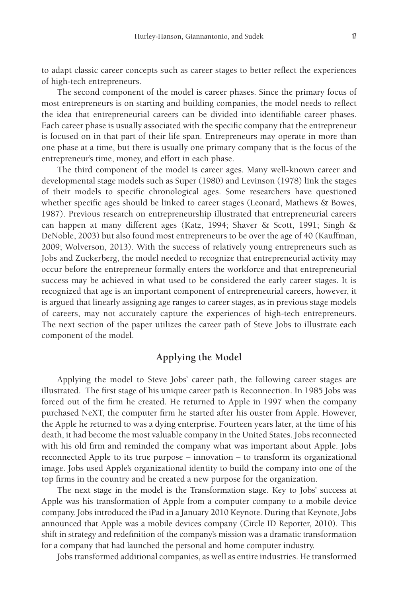to adapt classic career concepts such as career stages to better reflect the experiences of high-tech entrepreneurs.

The second component of the model is career phases. Since the primary focus of most entrepreneurs is on starting and building companies, the model needs to reflect the idea that entrepreneurial careers can be divided into identifiable career phases. Each career phase is usually associated with the specific company that the entrepreneur is focused on in that part of their life span. Entrepreneurs may operate in more than one phase at a time, but there is usually one primary company that is the focus of the entrepreneur's time, money, and effort in each phase.

The third component of the model is career ages. Many well-known career and developmental stage models such as Super (1980) and Levinson (1978) link the stages of their models to specific chronological ages. Some researchers have questioned whether specific ages should be linked to career stages (Leonard, Mathews & Bowes, 1987). Previous research on entrepreneurship illustrated that entrepreneurial careers can happen at many different ages (Katz, 1994; Shaver & Scott, 1991; Singh & DeNoble, 2003) but also found most entrepreneurs to be over the age of 40 (Kauffman, 2009; Wolverson, 2013). With the success of relatively young entrepreneurs such as Jobs and Zuckerberg, the model needed to recognize that entrepreneurial activity may occur before the entrepreneur formally enters the workforce and that entrepreneurial success may be achieved in what used to be considered the early career stages. It is recognized that age is an important component of entrepreneurial careers, however, it is argued that linearly assigning age ranges to career stages, as in previous stage models of careers, may not accurately capture the experiences of high-tech entrepreneurs. The next section of the paper utilizes the career path of Steve Jobs to illustrate each component of the model.

#### **Applying the Model**

Applying the model to Steve Jobs' career path, the following career stages are illustrated. The first stage of his unique career path is Reconnection. In 1985 Jobs was forced out of the firm he created. He returned to Apple in 1997 when the company purchased NeXT, the computer firm he started after his ouster from Apple. However, the Apple he returned to was a dying enterprise. Fourteen years later, at the time of his death, it had become the most valuable company in the United States. Jobs reconnected with his old firm and reminded the company what was important about Apple. Jobs reconnected Apple to its true purpose – innovation – to transform its organizational image. Jobs used Apple's organizational identity to build the company into one of the top firms in the country and he created a new purpose for the organization.

The next stage in the model is the Transformation stage. Key to Jobs' success at Apple was his transformation of Apple from a computer company to a mobile device company. Jobs introduced the iPad in a January 2010 Keynote. During that Keynote, Jobs announced that Apple was a mobile devices company (Circle ID Reporter, 2010). This shift in strategy and redefinition of the company's mission was a dramatic transformation for a company that had launched the personal and home computer industry.

Jobs transformed additional companies, as well as entire industries. He transformed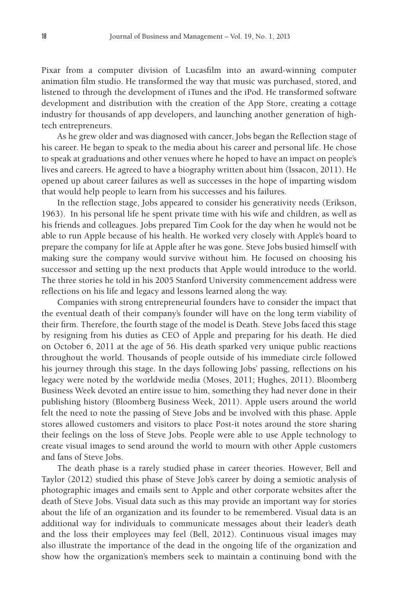Pixar from a computer division of Lucasfilm into an award-winning computer animation film studio. He transformed the way that music was purchased, stored, and listened to through the development of iTunes and the iPod. He transformed software development and distribution with the creation of the App Store, creating a cottage industry for thousands of app developers, and launching another generation of hightech entrepreneurs.

As he grew older and was diagnosed with cancer, Jobs began the Reflection stage of his career. He began to speak to the media about his career and personal life. He chose to speak at graduations and other venues where he hoped to have an impact on people's lives and careers. He agreed to have a biography written about him (Issacon, 2011). He opened up about career failures as well as successes in the hope of imparting wisdom that would help people to learn from his successes and his failures.

In the reflection stage, Jobs appeared to consider his generativity needs (Erikson, 1963). In his personal life he spent private time with his wife and children, as well as his friends and colleagues. Jobs prepared Tim Cook for the day when he would not be able to run Apple because of his health. He worked very closely with Apple's board to prepare the company for life at Apple after he was gone. Steve Jobs busied himself with making sure the company would survive without him. He focused on choosing his successor and setting up the next products that Apple would introduce to the world. The three stories he told in his 2005 Stanford University commencement address were reflections on his life and legacy and lessons learned along the way.

Companies with strong entrepreneurial founders have to consider the impact that the eventual death of their company's founder will have on the long term viability of their firm. Therefore, the fourth stage of the model is Death. Steve Jobs faced this stage by resigning from his duties as CEO of Apple and preparing for his death. He died on October 6, 2011 at the age of 56. His death sparked very unique public reactions throughout the world. Thousands of people outside of his immediate circle followed his journey through this stage. In the days following Jobs' passing, reflections on his legacy were noted by the worldwide media (Moses, 2011; Hughes, 2011). Bloomberg Business Week devoted an entire issue to him, something they had never done in their publishing history (Bloomberg Business Week, 2011). Apple users around the world felt the need to note the passing of Steve Jobs and be involved with this phase. Apple stores allowed customers and visitors to place Post-it notes around the store sharing their feelings on the loss of Steve Jobs. People were able to use Apple technology to create visual images to send around the world to mourn with other Apple customers and fans of Steve Jobs.

The death phase is a rarely studied phase in career theories. However, Bell and Taylor (2012) studied this phase of Steve Job's career by doing a semiotic analysis of photographic images and emails sent to Apple and other corporate websites after the death of Steve Jobs. Visual data such as this may provide an important way for stories about the life of an organization and its founder to be remembered. Visual data is an additional way for individuals to communicate messages about their leader's death and the loss their employees may feel (Bell, 2012). Continuous visual images may also illustrate the importance of the dead in the ongoing life of the organization and show how the organization's members seek to maintain a continuing bond with the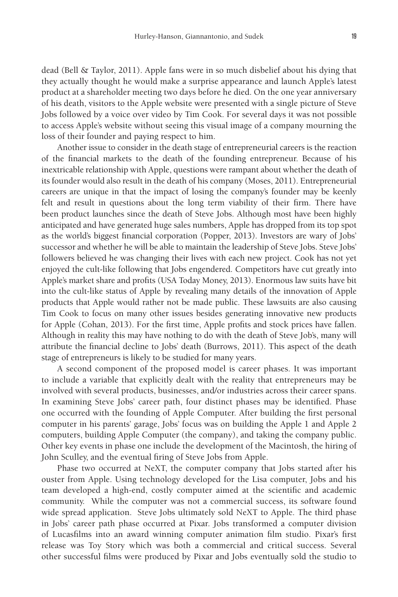dead (Bell & Taylor, 2011). Apple fans were in so much disbelief about his dying that they actually thought he would make a surprise appearance and launch Apple's latest product at a shareholder meeting two days before he died. On the one year anniversary of his death, visitors to the Apple website were presented with a single picture of Steve Jobs followed by a voice over video by Tim Cook. For several days it was not possible to access Apple's website without seeing this visual image of a company mourning the loss of their founder and paying respect to him.

Another issue to consider in the death stage of entrepreneurial careers is the reaction of the financial markets to the death of the founding entrepreneur. Because of his inextricable relationship with Apple, questions were rampant about whether the death of its founder would also result in the death of his company (Moses, 2011). Entrepreneurial careers are unique in that the impact of losing the company's founder may be keenly felt and result in questions about the long term viability of their firm. There have been product launches since the death of Steve Jobs. Although most have been highly anticipated and have generated huge sales numbers, Apple has dropped from its top spot as the world's biggest financial corporation (Popper, 2013). Investors are wary of Jobs' successor and whether he will be able to maintain the leadership of Steve Jobs. Steve Jobs' followers believed he was changing their lives with each new project. Cook has not yet enjoyed the cult-like following that Jobs engendered. Competitors have cut greatly into Apple's market share and profits (USA Today Money, 2013). Enormous law suits have bit into the cult-like status of Apple by revealing many details of the innovation of Apple products that Apple would rather not be made public. These lawsuits are also causing Tim Cook to focus on many other issues besides generating innovative new products for Apple (Cohan, 2013). For the first time, Apple profits and stock prices have fallen. Although in reality this may have nothing to do with the death of Steve Job's, many will attribute the financial decline to Jobs' death (Burrows, 2011). This aspect of the death stage of entrepreneurs is likely to be studied for many years.

A second component of the proposed model is career phases. It was important to include a variable that explicitly dealt with the reality that entrepreneurs may be involved with several products, businesses, and/or industries across their career spans. In examining Steve Jobs' career path, four distinct phases may be identified. Phase one occurred with the founding of Apple Computer. After building the first personal computer in his parents' garage, Jobs' focus was on building the Apple 1 and Apple 2 computers, building Apple Computer (the company), and taking the company public. Other key events in phase one include the development of the Macintosh, the hiring of John Sculley, and the eventual firing of Steve Jobs from Apple.

Phase two occurred at NeXT, the computer company that Jobs started after his ouster from Apple. Using technology developed for the Lisa computer, Jobs and his team developed a high-end, costly computer aimed at the scientific and academic community. While the computer was not a commercial success, its software found wide spread application. Steve Jobs ultimately sold NeXT to Apple. The third phase in Jobs' career path phase occurred at Pixar. Jobs transformed a computer division of Lucasfilms into an award winning computer animation film studio. Pixar's first release was Toy Story which was both a commercial and critical success. Several other successful films were produced by Pixar and Jobs eventually sold the studio to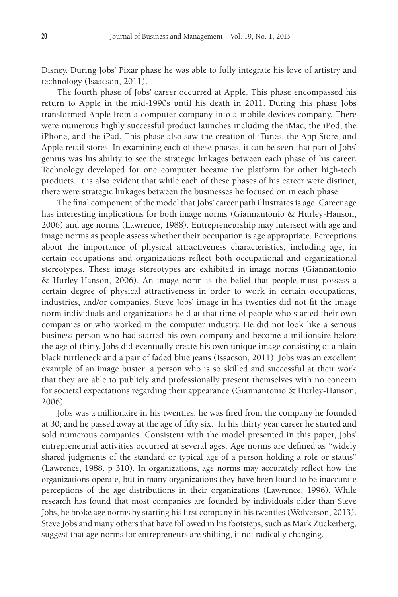Disney. During Jobs' Pixar phase he was able to fully integrate his love of artistry and technology (Isaacson, 2011).

The fourth phase of Jobs' career occurred at Apple. This phase encompassed his return to Apple in the mid-1990s until his death in 2011. During this phase Jobs transformed Apple from a computer company into a mobile devices company. There were numerous highly successful product launches including the iMac, the iPod, the iPhone, and the iPad. This phase also saw the creation of iTunes, the App Store, and Apple retail stores. In examining each of these phases, it can be seen that part of Jobs' genius was his ability to see the strategic linkages between each phase of his career. Technology developed for one computer became the platform for other high-tech products. It is also evident that while each of these phases of his career were distinct, there were strategic linkages between the businesses he focused on in each phase.

The final component of the model that Jobs' career path illustrates is age. Career age has interesting implications for both image norms (Giannantonio & Hurley-Hanson, 2006) and age norms (Lawrence, 1988). Entrepreneurship may intersect with age and image norms as people assess whether their occupation is age appropriate. Perceptions about the importance of physical attractiveness characteristics, including age, in certain occupations and organizations reflect both occupational and organizational stereotypes. These image stereotypes are exhibited in image norms (Giannantonio & Hurley-Hanson, 2006). An image norm is the belief that people must possess a certain degree of physical attractiveness in order to work in certain occupations, industries, and/or companies. Steve Jobs' image in his twenties did not fit the image norm individuals and organizations held at that time of people who started their own companies or who worked in the computer industry. He did not look like a serious business person who had started his own company and become a millionaire before the age of thirty. Jobs did eventually create his own unique image consisting of a plain black turtleneck and a pair of faded blue jeans (Issacson, 2011). Jobs was an excellent example of an image buster: a person who is so skilled and successful at their work that they are able to publicly and professionally present themselves with no concern for societal expectations regarding their appearance (Giannantonio & Hurley-Hanson, 2006).

Jobs was a millionaire in his twenties; he was fired from the company he founded at 30; and he passed away at the age of fifty six. In his thirty year career he started and sold numerous companies. Consistent with the model presented in this paper, Jobs' entrepreneurial activities occurred at several ages. Age norms are defined as "widely shared judgments of the standard or typical age of a person holding a role or status" (Lawrence, 1988, p 310). In organizations, age norms may accurately reflect how the organizations operate, but in many organizations they have been found to be inaccurate perceptions of the age distributions in their organizations (Lawrence, 1996). While research has found that most companies are founded by individuals older than Steve Jobs, he broke age norms by starting his first company in his twenties (Wolverson, 2013). Steve Jobs and many others that have followed in his footsteps, such as Mark Zuckerberg, suggest that age norms for entrepreneurs are shifting, if not radically changing.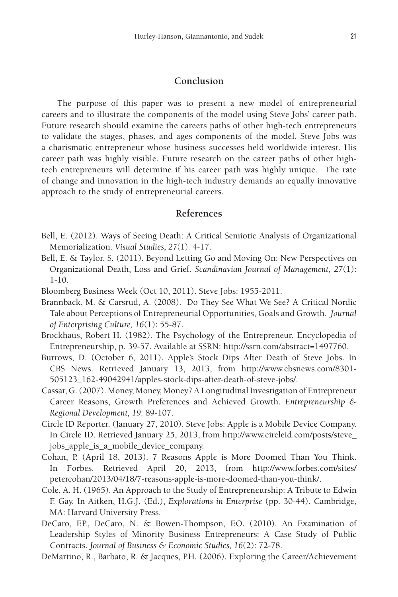#### **Conclusion**

The purpose of this paper was to present a new model of entrepreneurial careers and to illustrate the components of the model using Steve Jobs' career path. Future research should examine the careers paths of other high-tech entrepreneurs to validate the stages, phases, and ages components of the model. Steve Jobs was a charismatic entrepreneur whose business successes held worldwide interest. His career path was highly visible. Future research on the career paths of other hightech entrepreneurs will determine if his career path was highly unique. The rate of change and innovation in the high-tech industry demands an equally innovative approach to the study of entrepreneurial careers.

#### **References**

- Bell, E. (2012). Ways of Seeing Death: A Critical Semiotic Analysis of Organizational Memorialization. *Visual Studies, 27*(1): 4-17.
- Bell, E. & Taylor, S. (2011). Beyond Letting Go and Moving On: New Perspectives on Organizational Death, Loss and Grief. *Scandinavian Journal of Management, 27*(1): 1-10.
- Bloomberg Business Week (Oct 10, 2011). Steve Jobs: 1955-2011.
- Brannback, M. & Carsrud, A. (2008). Do They See What We See? A Critical Nordic Tale about Perceptions of Entrepreneurial Opportunities, Goals and Growth. *Journal of Enterprising Culture, 16*(1): 55-87.
- Brockhaus, Robert H. (1982). The Psychology of the Entrepreneur. Encyclopedia of Entrepreneurship, p. 39-57. Available at SSRN: http://ssrn.com/abstract=1497760.
- Burrows, D. (October 6, 2011). Apple's Stock Dips After Death of Steve Jobs. In CBS News. Retrieved January 13, 2013, from http://www.cbsnews.com/8301- 505123\_162-49042941/apples-stock-dips-after-death-of-steve-jobs/.
- Cassar, G. (2007). Money, Money, Money? A Longitudinal Investigation of Entrepreneur Career Reasons, Growth Preferences and Achieved Growth. *Entrepreneurship & Regional Development, 19*: 89-107.
- Circle ID Reporter. (January 27, 2010). Steve Jobs: Apple is a Mobile Device Company. In Circle ID. Retrieved January 25, 2013, from http://www.circleid.com/posts/steve\_ jobs\_apple\_is\_a\_mobile\_device\_company.
- Cohan, P. (April 18, 2013). 7 Reasons Apple is More Doomed Than You Think. In Forbes. Retrieved April 20, 2013, from http://www.forbes.com/sites/ petercohan/2013/04/18/7-reasons-apple-is-more-doomed-than-you-think/.
- Cole, A. H. (1965). An Approach to the Study of Entrepreneurship: A Tribute to Edwin F. Gay. In Aitken, H.G.J. (Ed.), *Explorations in Enterprise* (pp. 30-44). Cambridge, MA: Harvard University Press.
- DeCaro, F.P., DeCaro, N. & Bowen-Thompson, F.O. (2010). An Examination of Leadership Styles of Minority Business Entrepreneurs: A Case Study of Public Contracts. *Journal of Business & Economic Studies, 16*(2): 72-78.

DeMartino, R., Barbato, R. & Jacques, P.H. (2006). Exploring the Career/Achievement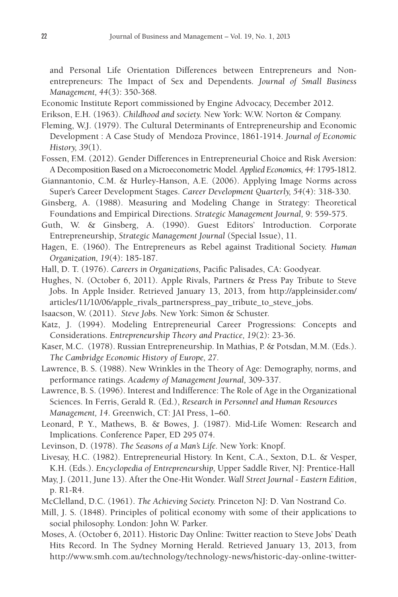and Personal Life Orientation Differences between Entrepreneurs and Nonentrepreneurs: The Impact of Sex and Dependents. *Journal of Small Business Management, 44*(3): 350-368.

Economic Institute Report commissioned by Engine Advocacy, December 2012.

Erikson, E.H. (1963). *Childhood and society.* New York: W.W. Norton & Company.

- Fleming, W.J. (1979). The Cultural Determinants of Entrepreneurship and Economic Development : A Case Study of Mendoza Province, 1861-1914. *Journal of Economic History, 39*(1).
- Fossen, F.M. (2012). Gender Differences in Entrepreneurial Choice and Risk Aversion: A Decomposition Based on a Microeconometric Model. *Applied Economics, 44*: 1795-1812.
- Giannantonio, C.M. & Hurley-Hanson, A.E. (2006). Applying Image Norms across Super's Career Development Stages. *Career Development Quarterly, 54*(4): 318-330.
- Ginsberg, A. (1988). Measuring and Modeling Change in Strategy: Theoretical Foundations and Empirical Directions. *Strategic Management Journal,* 9: 559-575.
- Guth, W. & Ginsberg, A. (1990). Guest Editors' Introduction. Corporate Entrepreneurship, *Strategic Management Journal* (Special Issue), 11.
- Hagen, E. (1960). The Entrepreneurs as Rebel against Traditional Society. *Human Organization, 19*(4): 185-187.
- Hall, D. T. (1976). *Careers in Organizations,* Pacific Palisades, CA: Goodyear.
- Hughes, N. (October 6, 2011). Apple Rivals, Partners & Press Pay Tribute to Steve Jobs. In Apple Insider. Retrieved January 13, 2013, from http://appleinsider.com/ articles/11/10/06/apple\_rivals\_partnerspress\_pay\_tribute\_to\_steve\_jobs.
- Isaacson, W. (2011). *Steve Jobs.* New York: Simon & Schuster.
- Katz, J. (1994). Modeling Entrepreneurial Career Progressions: Concepts and Considerations. *Entrepreneurship Theory and Practice, 19*(2): 23-36.
- Kaser, M.C. (1978). Russian Entrepreneurship. In Mathias, P. & Potsdan, M.M. (Eds.). *The Cambridge Economic History of Europe, 27.*
- Lawrence, B. S. (1988). New Wrinkles in the Theory of Age: Demography, norms, and performance ratings. *Academy of Management Journal,* 309-337.
- Lawrence, B. S. (1996). Interest and Indifference: The Role of Age in the Organizational Sciences. In Ferris, Gerald R. (Ed.), *Research in Personnel and Human Resources Management, 14*. Greenwich, CT: JAI Press, 1–60.
- Leonard, P. Y., Mathews, B. & Bowes, J. (1987). Mid-Life Women: Research and Implications. Conference Paper, ED 295 074.
- Levinson, D. (1978). *The Seasons of a Man's Life.* New York: Knopf.
- Livesay, H.C. (1982). Entrepreneurial History. In Kent, C.A., Sexton, D.L. & Vesper, K.H. (Eds.). *Encyclopedia of Entrepreneurship,* Upper Saddle River, NJ: Prentice-Hall
- May, J. (2011, June 13). After the One-Hit Wonder. *Wall Street Journal Eastern Edition*, p. R1-R4.
- McClelland, D.C. (1961). *The Achieving Society.* Princeton NJ: D. Van Nostrand Co.

Mill, J. S. (1848). Principles of political economy with some of their applications to social philosophy. London: John W. Parker.

Moses, A. (October 6, 2011). Historic Day Online: Twitter reaction to Steve Jobs' Death Hits Record. In The Sydney Morning Herald. Retrieved January 13, 2013, from http://www.smh.com.au/technology/technology-news/historic-day-online-twitter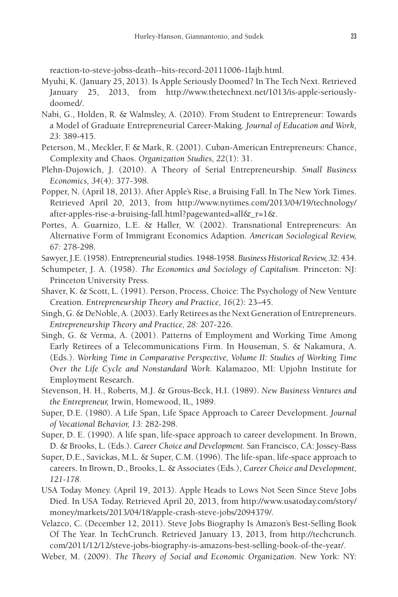reaction-to-steve-jobss-death--hits-record-20111006-1lajb.html.

- Myuhi, K. (January 25, 2013). Is Apple Seriously Doomed? In The Tech Next. Retrieved January 25, 2013, from http://www.thetechnext.net/1013/is-apple-seriouslydoomed/.
- Nabi, G., Holden, R. & Walmsley, A. (2010). From Student to Entrepreneur: Towards a Model of Graduate Entrepreneurial Career-Making. *Journal of Education and Work, 23*: 389-415.
- Peterson, M., Meckler, F. & Mark, R. (2001). Cuban-American Entrepreneurs: Chance, Complexity and Chaos. *Organization Studies, 22*(1): 31.
- Plehn-Dujowich, J. (2010). A Theory of Serial Entrepreneurship. *Small Business Economics, 34*(4): 377-398.
- Popper, N. (April 18, 2013). After Apple's Rise, a Bruising Fall. In The New York Times. Retrieved April 20, 2013, from http://www.nytimes.com/2013/04/19/technology/ after-apples-rise-a-bruising-fall.html?pagewanted=all&\_r=1&.
- Portes, A. Guarnizo, L.E. & Haller, W. (2002). Transnational Entrepreneurs: An Alternative Form of Immigrant Economics Adaption. *American Sociological Review, 67:* 278-298.
- Sawyer, J.E. (1958). Entrepreneurial studies. 1948-1958. *Business Historical Review, 32*: 434.
- Schumpeter, J. A. (1958). *The Economics and Sociology of Capitalism.* Princeton: NJ: Princeton University Press.
- Shaver, K. & Scott, L. (1991). Person, Process, Choice: The Psychology of New Venture Creation. *Entrepreneurship Theory and Practice, 16*(2): 23–45.
- Singh, G. & DeNoble, A. (2003). Early Retirees as the Next Generation of Entrepreneurs. *Entrepreneurship Theory and Practice, 28:* 207-226.
- Singh, G. & Verma, A. (2001). Patterns of Employment and Working Time Among Early Retirees of a Telecommunications Firm. In Houseman, S. & Nakamura, A. (Eds.). *Working Time in Comparative Perspective, Volume II: Studies of Working Time Over the Life Cycle and Nonstandard Work.* Kalamazoo, MI: Upjohn Institute for Employment Research.
- Stevenson, H. H., Roberts, M.J. & Grous-Beck, H.I. (1989). *New Business Ventures and the Entrepreneur,* Irwin, Homewood, IL, 1989.
- Super, D.E. (1980). A Life Span, Life Space Approach to Career Development. *Journal of Vocational Behavior, 13:* 282-298.
- Super, D. E. (1990). A life span, life-space approach to career development. In Brown, D. & Brooks, L. (Eds.). *Career Choice and Development.* San Francisco, CA: Jossey-Bass
- Super, D.E., Savickas, M.L. & Super, C.M. (1996). The life-span, life-space approach to careers. In Brown, D., Brooks, L. & Associates (Eds.), *Career Choice and Development, 121-178.*
- USA Today Money. (April 19, 2013). Apple Heads to Lows Not Seen Since Steve Jobs Died. In USA Today. Retrieved April 20, 2013, from http://www.usatoday.com/story/ money/markets/2013/04/18/apple-crash-steve-jobs/2094379/.
- Velazco, C. (December 12, 2011). Steve Jobs Biography Is Amazon's Best-Selling Book Of The Year. In TechCrunch. Retrieved January 13, 2013, from http://techcrunch. com/2011/12/12/steve-jobs-biography-is-amazons-best-selling-book-of-the-year/.

Weber, M. (2009). *The Theory of Social and Economic Organization.* New York: NY: